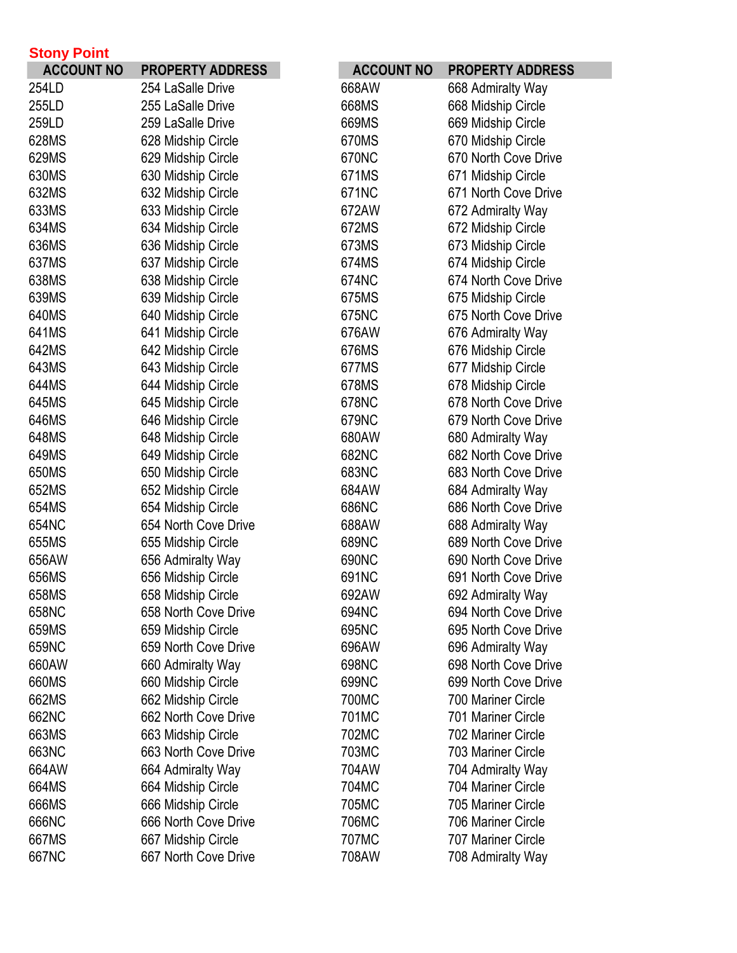| <b>Stony Point</b> |                         |                   |                         |
|--------------------|-------------------------|-------------------|-------------------------|
| <b>ACCOUNT NO</b>  | <b>PROPERTY ADDRESS</b> | <b>ACCOUNT NO</b> | <b>PROPERTY ADDRESS</b> |
| 254LD              | 254 LaSalle Drive       | 668AW             | 668 Admiralty Way       |
| 255LD              | 255 LaSalle Drive       | 668MS             | 668 Midship Circle      |
| 259LD              | 259 LaSalle Drive       | 669MS             | 669 Midship Circle      |
| 628MS              | 628 Midship Circle      | 670MS             | 670 Midship Circle      |
| 629MS              | 629 Midship Circle      | 670NC             | 670 North Cove Drive    |
| 630MS              | 630 Midship Circle      | 671MS             | 671 Midship Circle      |
| 632MS              | 632 Midship Circle      | 671NC             | 671 North Cove Drive    |
| 633MS              | 633 Midship Circle      | 672AW             | 672 Admiralty Way       |
| 634MS              | 634 Midship Circle      | 672MS             | 672 Midship Circle      |
| 636MS              | 636 Midship Circle      | 673MS             | 673 Midship Circle      |
| 637MS              | 637 Midship Circle      | 674MS             | 674 Midship Circle      |
| 638MS              | 638 Midship Circle      | 674NC             | 674 North Cove Drive    |
| 639MS              | 639 Midship Circle      | 675MS             | 675 Midship Circle      |
| 640MS              | 640 Midship Circle      | 675NC             | 675 North Cove Drive    |
| 641MS              | 641 Midship Circle      | 676AW             | 676 Admiralty Way       |
| 642MS              | 642 Midship Circle      | 676MS             | 676 Midship Circle      |
| 643MS              | 643 Midship Circle      | 677MS             | 677 Midship Circle      |
| 644MS              | 644 Midship Circle      | 678MS             | 678 Midship Circle      |
| 645MS              | 645 Midship Circle      | 678NC             | 678 North Cove Drive    |
| 646MS              | 646 Midship Circle      | 679NC             | 679 North Cove Drive    |
| 648MS              | 648 Midship Circle      | 680AW             | 680 Admiralty Way       |
| 649MS              | 649 Midship Circle      | 682NC             | 682 North Cove Drive    |
| 650MS              | 650 Midship Circle      | 683NC             | 683 North Cove Drive    |
| 652MS              | 652 Midship Circle      | 684AW             | 684 Admiralty Way       |
| 654MS              | 654 Midship Circle      | 686NC             | 686 North Cove Drive    |
| 654NC              | 654 North Cove Drive    | 688AW             | 688 Admiralty Way       |
| 655MS              | 655 Midship Circle      | 689NC             | 689 North Cove Drive    |
| 656AW              | 656 Admiralty Way       | 690NC             | 690 North Cove Drive    |
| 656MS              | 656 Midship Circle      | 691NC             | 691 North Cove Drive    |
| 658MS              | 658 Midship Circle      | 692AW             | 692 Admiralty Way       |
| 658NC              | 658 North Cove Drive    | 694NC             | 694 North Cove Drive    |
| 659MS              | 659 Midship Circle      | 695NC             | 695 North Cove Drive    |
| 659NC              | 659 North Cove Drive    | 696AW             | 696 Admiralty Way       |
| 660AW              | 660 Admiralty Way       | 698NC             | 698 North Cove Drive    |
| 660MS              | 660 Midship Circle      | 699NC             | 699 North Cove Drive    |
| 662MS              | 662 Midship Circle      | 700MC             | 700 Mariner Circle      |
| 662NC              | 662 North Cove Drive    | 701MC             | 701 Mariner Circle      |
| 663MS              | 663 Midship Circle      | 702MC             | 702 Mariner Circle      |
| 663NC              | 663 North Cove Drive    | 703MC             | 703 Mariner Circle      |
| 664AW              | 664 Admiralty Way       | 704AW             | 704 Admiralty Way       |
| 664MS              | 664 Midship Circle      | 704MC             | 704 Mariner Circle      |
| 666MS              | 666 Midship Circle      | 705MC             | 705 Mariner Circle      |
| 666NC              | 666 North Cove Drive    | 706MC             | 706 Mariner Circle      |
| 667MS              | 667 Midship Circle      | 707MC             | 707 Mariner Circle      |
| 667NC              | 667 North Cove Drive    | 708AW             | 708 Admiralty Way       |